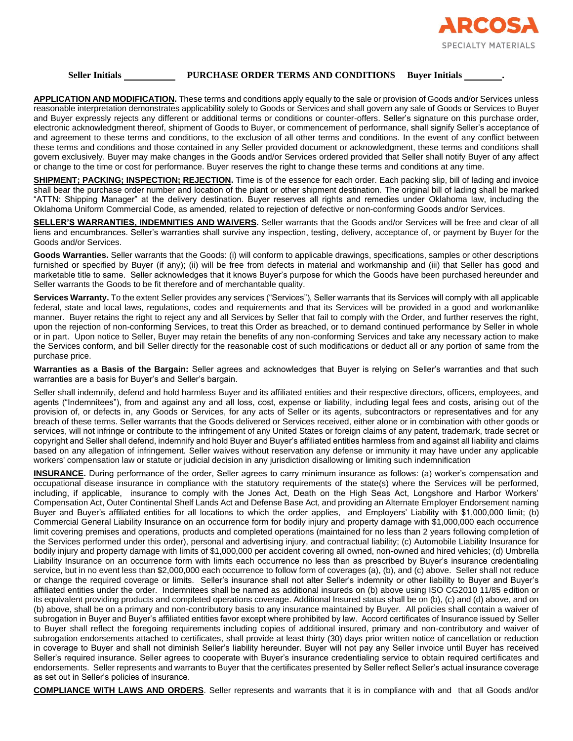

## **Seller Initials PURCHASE ORDER TERMS AND CONDITIONS Buyer Initials .**

**APPLICATION AND MODIFICATION.** These terms and conditions apply equally to the sale or provision of Goods and/or Services unless reasonable interpretation demonstrates applicability solely to Goods or Services and shall govern any sale of Goods or Services to Buyer and Buyer expressly rejects any different or additional terms or conditions or counter-offers. Seller's signature on this purchase order, electronic acknowledgment thereof, shipment of Goods to Buyer, or commencement of performance, shall signify Seller's acceptance of and agreement to these terms and conditions, to the exclusion of all other terms and conditions. In the event of any conflict between these terms and conditions and those contained in any Seller provided document or acknowledgment, these terms and conditions shall govern exclusively. Buyer may make changes in the Goods and/or Services ordered provided that Seller shall notify Buyer of any affect or change to the time or cost for performance. Buyer reserves the right to change these terms and conditions at any time.

**SHIPMENT; PACKING; INSPECTION; REJECTION.** Time is of the essence for each order. Each packing slip, bill of lading and invoice shall bear the purchase order number and location of the plant or other shipment destination. The original bill of lading shall be marked "ATTN: Shipping Manager" at the delivery destination. Buyer reserves all rights and remedies under Oklahoma law, including the Oklahoma Uniform Commercial Code, as amended, related to rejection of defective or non-conforming Goods and/or Services.

**SELLER'S WARRANTIES, INDEMNITIES AND WAIVERS.** Seller warrants that the Goods and/or Services will be free and clear of all liens and encumbrances. Seller's warranties shall survive any inspection, testing, delivery, acceptance of, or payment by Buyer for the Goods and/or Services.

**Goods Warranties.** Seller warrants that the Goods: (i) will conform to applicable drawings, specifications, samples or other descriptions furnished or specified by Buyer (if any); (ii) will be free from defects in material and workmanship and (iii) that Seller has good and marketable title to same. Seller acknowledges that it knows Buyer's purpose for which the Goods have been purchased hereunder and Seller warrants the Goods to be fit therefore and of merchantable quality.

**Services Warranty.** To the extent Seller provides any services ("Services"), Seller warrants that its Services will comply with all applicable federal, state and local laws, regulations, codes and requirements and that its Services will be provided in a good and workmanlike manner. Buyer retains the right to reject any and all Services by Seller that fail to comply with the Order, and further reserves the right, upon the rejection of non-conforming Services, to treat this Order as breached, or to demand continued performance by Seller in whole or in part. Upon notice to Seller, Buyer may retain the benefits of any non-conforming Services and take any necessary action to make the Services conform, and bill Seller directly for the reasonable cost of such modifications or deduct all or any portion of same from the purchase price.

**Warranties as a Basis of the Bargain:** Seller agrees and acknowledges that Buyer is relying on Seller's warranties and that such warranties are a basis for Buyer's and Seller's bargain.

Seller shall indemnify, defend and hold harmless Buyer and its affiliated entities and their respective directors, officers, employees, and agents ("Indemnitees"), from and against any and all loss, cost, expense or liability, including legal fees and costs, arising out of the provision of, or defects in, any Goods or Services, for any acts of Seller or its agents, subcontractors or representatives and for any breach of these terms. Seller warrants that the Goods delivered or Services received, either alone or in combination with other goods or services, will not infringe or contribute to the infringement of any United States or foreign claims of any patent, trademark, trade secret or copyright and Seller shall defend, indemnify and hold Buyer and Buyer's affiliated entities harmless from and against all liability and claims based on any allegation of infringement. Seller waives without reservation any defense or immunity it may have under any applicable workers' compensation law or statute or judicial decision in any jurisdiction disallowing or limiting such indemnification

**INSURANCE.** During performance of the order, Seller agrees to carry minimum insurance as follows: (a) worker's compensation and occupational disease insurance in compliance with the statutory requirements of the state(s) where the Services will be performed, including, if applicable, insurance to comply with the Jones Act, Death on the High Seas Act, Longshore and Harbor Workers' Compensation Act, Outer Continental Shelf Lands Act and Defense Base Act, and providing an Alternate Employer Endorsement naming Buyer and Buyer's affiliated entities for all locations to which the order applies, and Employers' Liability with \$1,000,000 limit; (b) Commercial General Liability Insurance on an occurrence form for bodily injury and property damage with \$1,000,000 each occurrence limit covering premises and operations, products and completed operations (maintained for no less than 2 years following completion of the Services performed under this order), personal and advertising injury, and contractual liability; (c) Automobile Liability Insurance for bodily injury and property damage with limits of \$1,000,000 per accident covering all owned, non-owned and hired vehicles; (d) Umbrella Liability Insurance on an occurrence form with limits each occurrence no less than as prescribed by Buyer's insurance credentialing service, but in no event less than \$2,000,000 each occurrence to follow form of coverages (a), (b), and (c) above. Seller shall not reduce or change the required coverage or limits. Seller's insurance shall not alter Seller's indemnity or other liability to Buyer and Buyer's affiliated entities under the order. Indemnitees shall be named as additional insureds on (b) above using ISO CG2010 11/85 edition or its equivalent providing products and completed operations coverage. Additional Insured status shall be on (b), (c) and (d) above, and on (b) above, shall be on a primary and non-contributory basis to any insurance maintained by Buyer. All policies shall contain a waiver of subrogation in Buyer and Buyer's affiliated entities favor except where prohibited by law. Accord certificates of Insurance issued by Seller to Buyer shall reflect the foregoing requirements including copies of additional insured, primary and non-contributory and waiver of subrogation endorsements attached to certificates, shall provide at least thirty (30) days prior written notice of cancellation or reduction in coverage to Buyer and shall not diminish Seller's liability hereunder. Buyer will not pay any Seller invoice until Buyer has received Seller's required insurance. Seller agrees to cooperate with Buyer's insurance credentialing service to obtain required certificates and endorsements. Seller represents and warrants to Buyer that the certificates presented by Seller reflect Seller's actual insurance coverage as set out in Seller's policies of insurance.

**COMPLIANCE WITH LAWS AND ORDERS**. Seller represents and warrants that it is in compliance with and that all Goods and/or